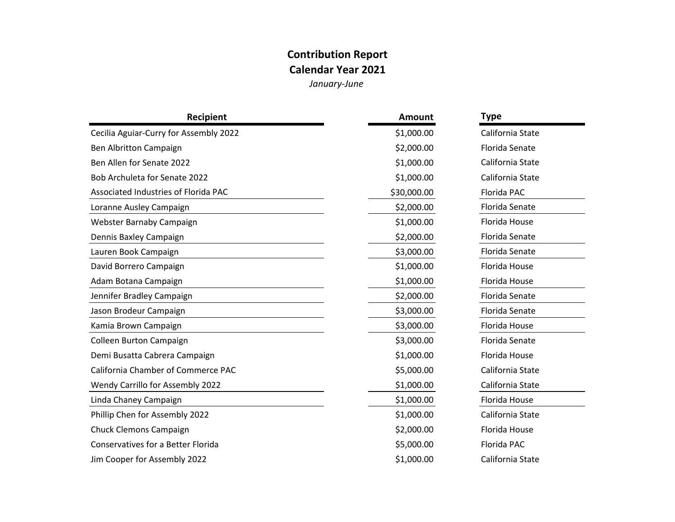## **Contribution Report**

**Calendar Year 2021**

*January-June*

| Recipient                              | <b>Amount</b> | Type             |
|----------------------------------------|---------------|------------------|
| Cecilia Aguiar-Curry for Assembly 2022 | \$1,000.00    | California State |
| Ben Albritton Campaign                 | \$2,000.00    | Florida Senate   |
| Ben Allen for Senate 2022              | \$1,000.00    | California State |
| Bob Archuleta for Senate 2022          | \$1,000.00    | California State |
| Associated Industries of Florida PAC   | \$30,000.00   | Florida PAC      |
| Loranne Ausley Campaign                | \$2,000.00    | Florida Senate   |
| Webster Barnaby Campaign               | \$1,000.00    | Florida House    |
| Dennis Baxley Campaign                 | \$2,000.00    | Florida Senate   |
| Lauren Book Campaign                   | \$3,000.00    | Florida Senate   |
| David Borrero Campaign                 | \$1,000.00    | Florida House    |
| Adam Botana Campaign                   | \$1,000.00    | Florida House    |
| Jennifer Bradley Campaign              | \$2,000.00    | Florida Senate   |
| Jason Brodeur Campaign                 | \$3,000.00    | Florida Senate   |
| Kamia Brown Campaign                   | \$3,000.00    | Florida House    |
| Colleen Burton Campaign                | \$3,000.00    | Florida Senate   |
| Demi Busatta Cabrera Campaign          | \$1,000.00    | Florida House    |
| California Chamber of Commerce PAC     | \$5,000.00    | California State |
| Wendy Carrillo for Assembly 2022       | \$1,000.00    | California State |
| Linda Chaney Campaign                  | \$1,000.00    | Florida House    |
| Phillip Chen for Assembly 2022         | \$1,000.00    | California State |
| <b>Chuck Clemons Campaign</b>          | \$2,000.00    | Florida House    |
| Conservatives for a Better Florida     | \$5,000.00    | Florida PAC      |
| Jim Cooper for Assembly 2022           | \$1,000.00    | California State |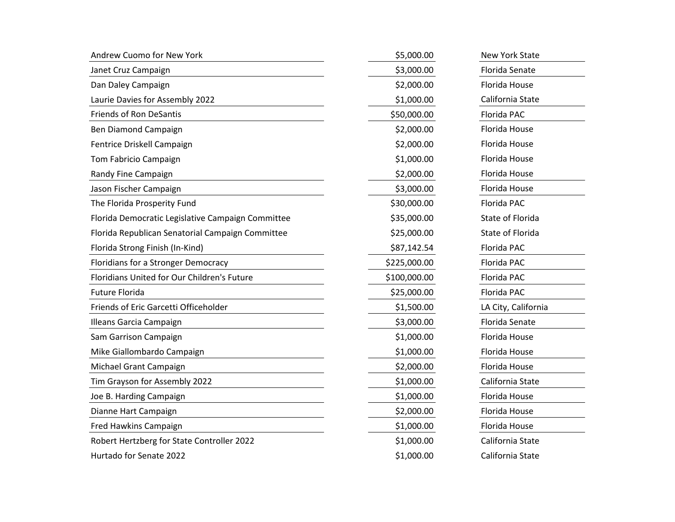| Andrew Cuomo for New York                         | \$5,000.00   | <b>New York State</b> |
|---------------------------------------------------|--------------|-----------------------|
| Janet Cruz Campaign                               | \$3,000.00   | Florida Senate        |
| Dan Daley Campaign                                | \$2,000.00   | Florida House         |
| Laurie Davies for Assembly 2022                   | \$1,000.00   | California State      |
| <b>Friends of Ron DeSantis</b>                    | \$50,000.00  | Florida PAC           |
| Ben Diamond Campaign                              | \$2,000.00   | Florida House         |
| Fentrice Driskell Campaign                        | \$2,000.00   | Florida House         |
| Tom Fabricio Campaign                             | \$1,000.00   | Florida House         |
| Randy Fine Campaign                               | \$2,000.00   | Florida House         |
| Jason Fischer Campaign                            | \$3,000.00   | Florida House         |
| The Florida Prosperity Fund                       | \$30,000.00  | Florida PAC           |
| Florida Democratic Legislative Campaign Committee | \$35,000.00  | State of Florida      |
| Florida Republican Senatorial Campaign Committee  | \$25,000.00  | State of Florida      |
| Florida Strong Finish (In-Kind)                   | \$87,142.54  | Florida PAC           |
| Floridians for a Stronger Democracy               | \$225,000.00 | Florida PAC           |
| Floridians United for Our Children's Future       | \$100,000.00 | Florida PAC           |
| <b>Future Florida</b>                             | \$25,000.00  | Florida PAC           |
| Friends of Eric Garcetti Officeholder             | \$1,500.00   | LA City, California   |
| Illeans Garcia Campaign                           | \$3,000.00   | Florida Senate        |
| Sam Garrison Campaign                             | \$1,000.00   | Florida House         |
| Mike Giallombardo Campaign                        | \$1,000.00   | Florida House         |
| Michael Grant Campaign                            | \$2,000.00   | Florida House         |
| Tim Grayson for Assembly 2022                     | \$1,000.00   | California State      |
| Joe B. Harding Campaign                           | \$1,000.00   | Florida House         |
| Dianne Hart Campaign                              | \$2,000.00   | Florida House         |
| Fred Hawkins Campaign                             | \$1,000.00   | Florida House         |
| Robert Hertzberg for State Controller 2022        | \$1,000.00   | California State      |
| Hurtado for Senate 2022                           | \$1,000.00   | California State      |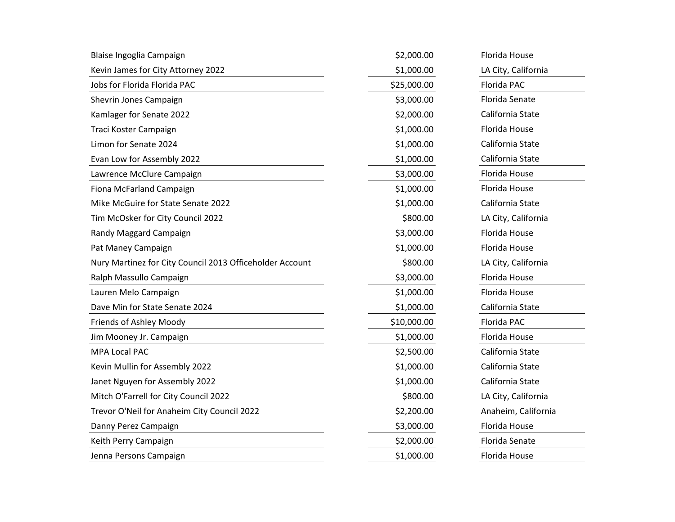| Blaise Ingoglia Campaign                                 | \$2,000.00  | Florida House       |
|----------------------------------------------------------|-------------|---------------------|
| Kevin James for City Attorney 2022                       | \$1,000.00  | LA City, California |
| Jobs for Florida Florida PAC                             | \$25,000.00 | Florida PAC         |
| Shevrin Jones Campaign                                   | \$3,000.00  | Florida Senate      |
| Kamlager for Senate 2022                                 | \$2,000.00  | California State    |
| Traci Koster Campaign                                    | \$1,000.00  | Florida House       |
| Limon for Senate 2024                                    | \$1,000.00  | California State    |
| Evan Low for Assembly 2022                               | \$1,000.00  | California State    |
| Lawrence McClure Campaign                                | \$3,000.00  | Florida House       |
| Fiona McFarland Campaign                                 | \$1,000.00  | Florida House       |
| Mike McGuire for State Senate 2022                       | \$1,000.00  | California State    |
| Tim McOsker for City Council 2022                        | \$800.00    | LA City, California |
| Randy Maggard Campaign                                   | \$3,000.00  | Florida House       |
| Pat Maney Campaign                                       | \$1,000.00  | Florida House       |
| Nury Martinez for City Council 2013 Officeholder Account | \$800.00    | LA City, California |
| Ralph Massullo Campaign                                  | \$3,000.00  | Florida House       |
| Lauren Melo Campaign                                     | \$1,000.00  | Florida House       |
| Dave Min for State Senate 2024                           | \$1,000.00  | California State    |
| Friends of Ashley Moody                                  | \$10,000.00 | Florida PAC         |
| Jim Mooney Jr. Campaign                                  | \$1,000.00  | Florida House       |
| MPA Local PAC                                            | \$2,500.00  | California State    |
| Kevin Mullin for Assembly 2022                           | \$1,000.00  | California State    |
| Janet Nguyen for Assembly 2022                           | \$1,000.00  | California State    |
| Mitch O'Farrell for City Council 2022                    | \$800.00    | LA City, California |
| Trevor O'Neil for Anaheim City Council 2022              | \$2,200.00  | Anaheim, California |
| Danny Perez Campaign                                     | \$3,000.00  | Florida House       |
| Keith Perry Campaign                                     | \$2,000.00  | Florida Senate      |
| Jenna Persons Campaign                                   | \$1,000.00  | Florida House       |